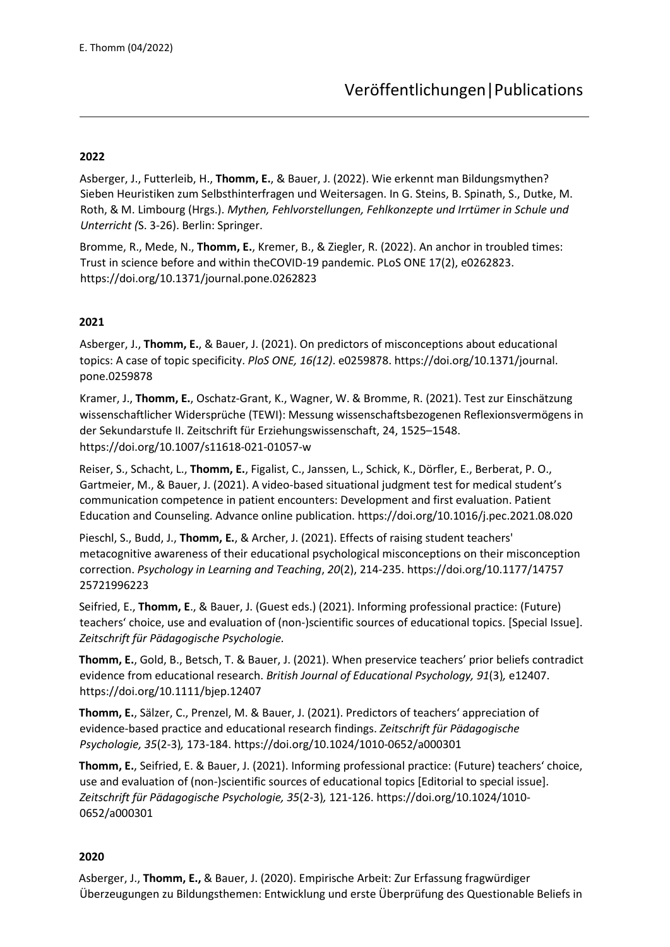## **2022**

Asberger, J., Futterleib, H., **Thomm, E.**, & Bauer, J. (2022). Wie erkennt man Bildungsmythen? Sieben Heuristiken zum Selbsthinterfragen und Weitersagen. In G. Steins, B. Spinath, S., Dutke, M. Roth, & M. Limbourg (Hrgs.). *Mythen, Fehlvorstellungen, Fehlkonzepte und Irrtümer in Schule und Unterricht (*S. 3-26). Berlin: Springer.

Bromme, R., Mede, N., **Thomm, E.**, Kremer, B., & Ziegler, R. (2022). An anchor in troubled times: Trust in science before and within theCOVID-19 pandemic. PLoS ONE 17(2), e0262823. https://doi.org/10.1371/journal.pone.0262823

## **2021**

Asberger, J., **Thomm, E.**, & Bauer, J. (2021). On predictors of misconceptions about educational topics: A case of topic specificity. *PloS ONE, 16(12)*. e0259878. https://doi.org/10.1371/journal. pone.0259878

Kramer, J., **Thomm, E.**, Oschatz-Grant, K., Wagner, W. & Bromme, R. (2021). Test zur Einschätzung wissenschaftlicher Widersprüche (TEWI): Messung wissenschaftsbezogenen Reflexionsvermögens in der Sekundarstufe II. Zeitschrift für Erziehungswissenschaft, 24, 1525–1548. https://doi.org/10.1007/s11618-021-01057-w

Reiser, S., Schacht, L., **Thomm, E.**, Figalist, C., Janssen, L., Schick, K., Dörfler, E., Berberat, P. O., Gartmeier, M., & Bauer, J. (2021). A video-based situational judgment test for medical student's communication competence in patient encounters: Development and first evaluation. Patient Education and Counseling. Advance online publication. https://doi.org/10.1016/j.pec.2021.08.020

Pieschl, S., Budd, J., **Thomm, E.**, & Archer, J. (2021). Effects of raising student teachers' metacognitive awareness of their educational psychological misconceptions on their misconception correction. *Psychology in Learning and Teaching*, *20*(2), 214-235. https://doi.org/10.1177/14757 25721996223

Seifried, E., **Thomm, E**., & Bauer, J. (Guest eds.) (2021). Informing professional practice: (Future) teachers' choice, use and evaluation of (non-)scientific sources of educational topics. [Special Issue]. *Zeitschrift für Pädagogische Psychologie.*

**Thomm, E.**, Gold, B., Betsch, T. & Bauer, J. (2021). When preservice teachers' prior beliefs contradict evidence from educational research. *British Journal of Educational Psychology, 91*(3)*,* e12407. https://doi.org/10.1111/bjep.12407

**Thomm, E.**, Sälzer, C., Prenzel, M. & Bauer, J. (2021). Predictors of teachers' appreciation of evidence-based practice and educational research findings. *Zeitschrift für Pädagogische Psychologie, 35*(2-3)*,* 173-184. https://doi.org/10.1024/1010-0652/a000301

**Thomm, E.**, Seifried, E. & Bauer, J. (2021). Informing professional practice: (Future) teachers' choice, use and evaluation of (non-)scientific sources of educational topics [Editorial to special issue]. *Zeitschrift für Pädagogische Psychologie, 35*(2-3)*,* 121-126. https://doi.org/10.1024/1010- 0652/a000301

### **2020**

Asberger, J., **Thomm, E.,** & Bauer, J. (2020). Empirische Arbeit: Zur Erfassung fragwürdiger Überzeugungen zu Bildungsthemen: Entwicklung und erste Überprüfung des Questionable Beliefs in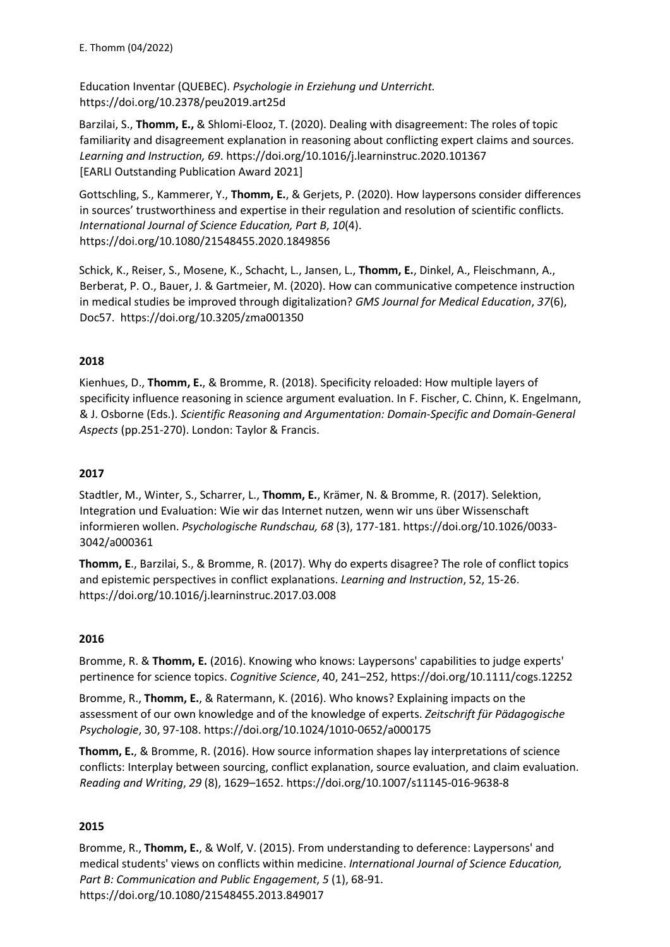Education Inventar (QUEBEC). *Psychologie in Erziehung und Unterricht.*  https://doi.org/10.2378/peu2019.art25d

Barzilai, S., **Thomm, E.,** & Shlomi-Elooz, T. (2020). Dealing with disagreement: The roles of topic familiarity and disagreement explanation in reasoning about conflicting expert claims and sources. *Learning and Instruction, 69*. https://doi.org/10.1016/j.learninstruc.2020.101367 [EARLI Outstanding Publication Award 2021]

Gottschling, S., Kammerer, Y., **Thomm, E.**, & Gerjets, P. (2020). How laypersons consider differences in sources' trustworthiness and expertise in their regulation and resolution of scientific conflicts. *International Journal of Science Education, Part B*, *10*(4). https://doi.org/10.1080/21548455.2020.1849856

Schick, K., Reiser, S., Mosene, K., Schacht, L., Jansen, L., **Thomm, E.**, Dinkel, A., Fleischmann, A., Berberat, P. O., Bauer, J. & Gartmeier, M. (2020). How can communicative competence instruction in medical studies be improved through digitalization? *GMS Journal for Medical Education*, *37*(6), Doc57. https://doi.org/10.3205/zma001350

## **2018**

Kienhues, D., **Thomm, E.**, & Bromme, R. (2018). Specificity reloaded: How multiple layers of specificity influence reasoning in science argument evaluation. In F. Fischer, C. Chinn, K. Engelmann, & J. Osborne (Eds.). *Scientific Reasoning and Argumentation: Domain-Specific and Domain-General Aspects* (pp.251-270). London: Taylor & Francis.

# **2017**

Stadtler, M., Winter, S., Scharrer, L., **Thomm, E.**, Krämer, N. & Bromme, R. (2017). Selektion, Integration und Evaluation: Wie wir das Internet nutzen, wenn wir uns über Wissenschaft informieren wollen. *Psychologische Rundschau, 68* (3), 177-181. https://doi.org/10.1026/0033- 3042/a000361

**Thomm, E**., Barzilai, S., & Bromme, R. (2017). Why do experts disagree? The role of conflict topics and epistemic perspectives in conflict explanations. *Learning and Instruction*, 52, 15-26. https://doi.org/10.1016/j.learninstruc.2017.03.008

### **2016**

Bromme, R. & **Thomm, E.** (2016). Knowing who knows: Laypersons' capabilities to judge experts' pertinence for science topics. *Cognitive Science*, 40, 241–252, https://doi.org/10.1111/cogs.12252

Bromme, R., **Thomm, E.**, & Ratermann, K. (2016). Who knows? Explaining impacts on the assessment of our own knowledge and of the knowledge of experts. *Zeitschrift für Pädagogische Psychologie*, 30, 97-108. https://doi.org/10.1024/1010-0652/a000175

**Thomm, E.**, & Bromme, R. (2016). How source information shapes lay interpretations of science conflicts: Interplay between sourcing, conflict explanation, source evaluation, and claim evaluation. *Reading and Writing*, *29* (8), 1629–1652. https://doi.org/10.1007/s11145-016-9638-8

### **2015**

Bromme, R., **Thomm, E.**, & Wolf, V. (2015). From understanding to deference: Laypersons' and medical students' views on conflicts within medicine. *International Journal of Science Education, Part B: Communication and Public Engagement*, *5* (1), 68-91. https://doi.org/10.1080/21548455.2013.849017